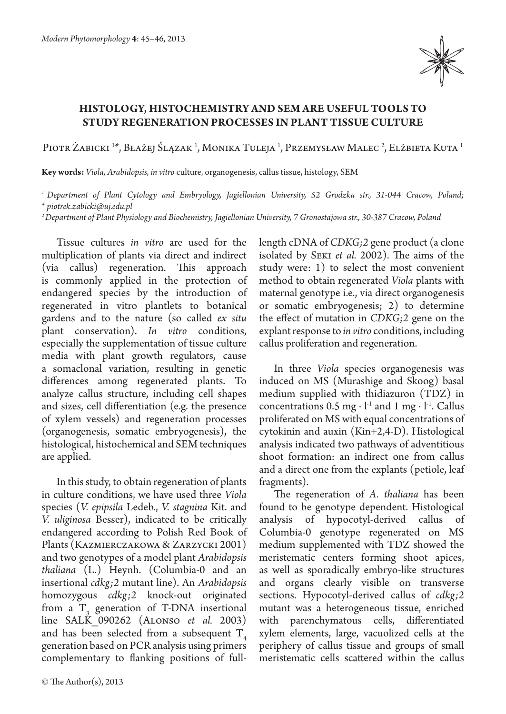

## **Histology, histochemistry and SEM are useful tools to study regeneration processes in plant tissue culture**

Piotr Żabicki <sup>1</sup>\*, Błażej Ślązak <sup>1</sup>, Monika Tuleja <sup>1</sup>, Przemysław Malec <sup>2</sup>, Elżbieta Kuta <sup>1</sup>

**Key words:** *Viola, Arabidopsis, in vitro* culture, organogenesis, callus tissue, histology, SEM

*1 Department of Plant Cytology and Embryology, Jagiellonian University, 52 Grodzka str., 31-044 Cracow, Poland; \* piotrek.zabicki@uj.edu.pl*

*2 Department of Plant Physiology and Biochemistry, Jagiellonian University, 7 Gronostajowa str., 30-387 Cracow, Poland*

Tissue cultures *in vitro* are used for the multiplication of plants via direct and indirect (via callus) regeneration. This approach is commonly applied in the protection of endangered species by the introduction of regenerated in vitro plantlets to botanical gardens and to the nature (so called *ex situ*  plant conservation). *In vitro* conditions, especially the supplementation of tissue culture media with plant growth regulators, cause a somaclonal variation, resulting in genetic differences among regenerated plants. To analyze callus structure, including cell shapes and sizes, cell differentiation (e.g. the presence of xylem vessels) and regeneration processes (organogenesis, somatic embryogenesis), the histological, histochemical and SEM techniques are applied.

In this study, to obtain regeneration of plants in culture conditions, we have used three *Viola* species (*V. epipsila* Ledeb., *V. stagnina* Kit. and *V. uliginosa* Besser), indicated to be critically endangered according to Polish Red Book of Plants (Kazmierczakowa & Zarzycki 2001) and two genotypes of a model plant *Arabidopsis thaliana* (L.) Heynh. (Columbia-0 and an insertional *cdkg;2* mutant line). An *Arabidopsis* homozygous *cdkg;2* knock-out originated from a  $T_3$  generation of T-DNA insertional line SALK\_090262 (Alonso *et al.*  2003) and has been selected from a subsequent  $T<sub>4</sub>$ generation based on PCR analysis using primers complementary to flanking positions of full-

length cDNA of *CDKG;2* gene product (a clone isolated by Seki *et al.* 2002). The aims of the study were: 1) to select the most convenient method to obtain regenerated *Viola* plants with maternal genotype i.e., via direct organogenesis or somatic embryogenesis; 2) to determine the effect of mutation in *CDKG;2* gene on the explant response to *in vitro* conditions, including callus proliferation and regeneration.

In three *Viola* species organogenesis was induced on MS (Murashige and Skoog) basal medium supplied with thidiazuron (TDZ) in concentrations 0.5 mg ⋅  $l<sup>-1</sup>$  and 1 mg ⋅  $l<sup>-1</sup>$ . Callus proliferated on MS with equal concentrations of cytokinin and auxin (Kin+2,4-D). Histological analysis indicated two pathways of adventitious shoot formation: an indirect one from callus and a direct one from the explants (petiole, leaf fragments).

The regeneration of *A. thaliana* has been found to be genotype dependent. Histological analysis of hypocotyl-derived callus of Columbia-0 genotype regenerated on MS medium supplemented with TDZ showed the meristematic centers forming shoot apices, as well as sporadically embryo-like structures and organs clearly visible on transverse sections. Hypocotyl-derived callus of *cdkg;2*  mutant was a heterogeneous tissue, enriched with parenchymatous cells, differentiated xylem elements, large, vacuolized cells at the periphery of callus tissue and groups of small meristematic cells scattered within the callus